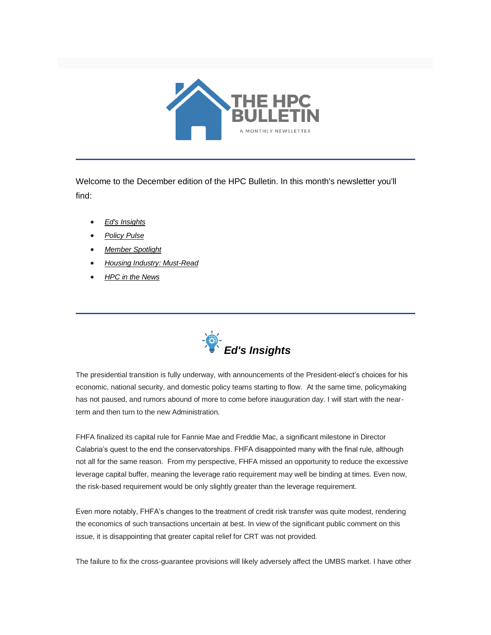

Welcome to the December edition of the HPC Bulletin. In this month's newsletter you'll find:

- *[Ed's Insights](#page-0-0)*
- *[Policy Pulse](#page-1-0)*
- *[Member Spotlight](#page-3-0)*
- *[Housing Industry: Must-Read](#page-4-0)*
- *[HPC in the News](#page-4-1)*

<span id="page-0-0"></span>

The presidential transition is fully underway, with announcements of the President-elect's choices for his economic, national security, and domestic policy teams starting to flow. At the same time, policymaking has not paused, and rumors abound of more to come before inauguration day. I will start with the nearterm and then turn to the new Administration.

FHFA finalized its capital rule for Fannie Mae and Freddie Mac, a significant milestone in Director Calabria's quest to the end the conservatorships. FHFA disappointed many with the final rule, although not all for the same reason. From my perspective, FHFA missed an opportunity to reduce the excessive leverage capital buffer, meaning the leverage ratio requirement may well be binding at times. Even now, the risk-based requirement would be only slightly greater than the leverage requirement.

Even more notably, FHFA's changes to the treatment of credit risk transfer was quite modest, rendering the economics of such transactions uncertain at best. In view of the significant public comment on this issue, it is disappointing that greater capital relief for CRT was not provided.

The failure to fix the cross-guarantee provisions will likely adversely affect the UMBS market. I have other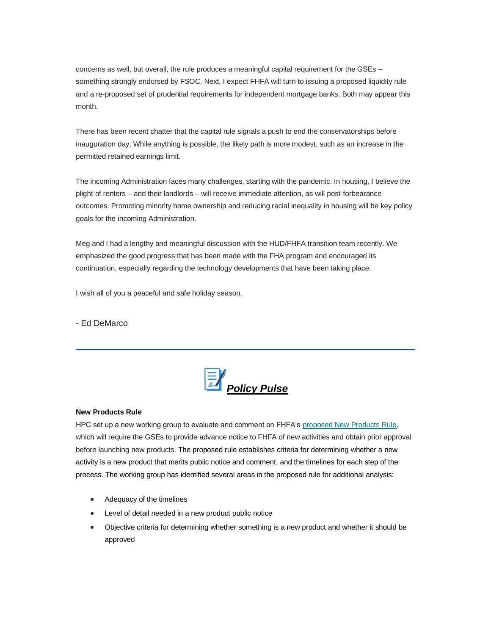concerns as well, but overall, the rule produces a meaningful capital requirement for the GSEs – something strongly endorsed by FSOC. Next, I expect FHFA will turn to issuing a proposed liquidity rule and a re-proposed set of prudential requirements for independent mortgage banks. Both may appear this month.

There has been recent chatter that the capital rule signals a push to end the conservatorships before inauguration day. While anything is possible, the likely path is more modest, such as an increase in the permitted retained earnings limit.

The incoming Administration faces many challenges, starting with the pandemic. In housing, I believe the plight of renters – and their landlords – will receive immediate attention, as will post-forbearance outcomes. Promoting minority home ownership and reducing racial inequality in housing will be key policy goals for the incoming Administration.

Meg and I had a lengthy and meaningful discussion with the HUD/FHFA transition team recently. We emphasized the good progress that has been made with the FHA program and encouraged its continuation, especially regarding the technology developments that have been taking place.

I wish all of you a peaceful and safe holiday season.

- Ed DeMarco

<span id="page-1-0"></span>

## **New Products Rule**

HPC set up a new working group to evaluate and comment on FHFA's [proposed New Products Rule,](https://nam12.safelinks.protection.outlook.com/?url=https%3A%2F%2Fwww.federalregister.gov%2Fdocuments%2F2020%2F11%2F09%2F2020-23452%2Fprior-approval-for-enterprise-products&data=04%7C01%7Canna.herndon%40edelman.com%7C6b9b93e438354194185308d896477448%7Cb824bfb3918e43c2bb1cdcc1ba40a82b%7C0%7C0%7C637424580941276292%7CUnknown%7CTWFpbGZsb3d8eyJWIjoiMC4wLjAwMDAiLCJQIjoiV2luMzIiLCJBTiI6Ik1haWwiLCJXVCI6Mn0%3D%7C1000&sdata=r9msimCE2wvk9uHo9orRSko%2BerrPXX0kFJDf4Q5Mvck%3D&reserved=0) which will require the GSEs to provide advance notice to FHFA of new activities and obtain prior approval before launching new products. The proposed rule establishes criteria for determining whether a new activity is a new product that merits public notice and comment, and the timelines for each step of the process. The working group has identified several areas in the proposed rule for additional analysis:

- Adequacy of the timelines
- Level of detail needed in a new product public notice
- Objective criteria for determining whether something is a new product and whether it should be approved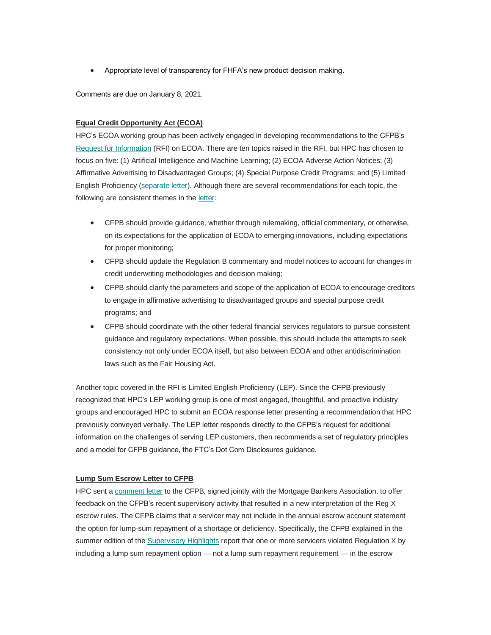• Appropriate level of transparency for FHFA's new product decision making.

Comments are due on January 8, 2021.

## **Equal Credit Opportunity Act (ECOA)**

HPC's ECOA working group has been actively engaged in developing recommendations to the CFPB's [Request for Information](https://nam12.safelinks.protection.outlook.com/?url=https%3A%2F%2Ffiles.consumerfinance.gov%2Ff%2Fdocuments%2Fcfpb_rfi_equal-credit-opportunity-act-regulation-b.pdf&data=04%7C01%7Canna.herndon%40edelman.com%7C6b9b93e438354194185308d896477448%7Cb824bfb3918e43c2bb1cdcc1ba40a82b%7C0%7C1%7C637424580941286278%7CUnknown%7CTWFpbGZsb3d8eyJWIjoiMC4wLjAwMDAiLCJQIjoiV2luMzIiLCJBTiI6Ik1haWwiLCJXVCI6Mn0%3D%7C1000&sdata=3YHMPtH8x39isRk62ZJM7CG11AlAPSS7BhjKPvzmyZk%3D&reserved=0) (RFI) on ECOA. There are ten topics raised in the RFI, but HPC has chosen to focus on five: (1) Artificial Intelligence and Machine Learning; (2) ECOA Adverse Action Notices; (3) Affirmative Advertising to Disadvantaged Groups; (4) Special Purpose Credit Programs; and (5) Limited English Proficiency [\(separate letter\)](https://nam12.safelinks.protection.outlook.com/?url=https%3A%2F%2Ffbb0ab68-1668-4db6-9365-051035190b71.filesusr.com%2Fugd%2Fd315af_93d1d964ce31408b9892f1ef734d9a71.pdf&data=04%7C01%7Canna.herndon%40edelman.com%7C6b9b93e438354194185308d896477448%7Cb824bfb3918e43c2bb1cdcc1ba40a82b%7C0%7C1%7C637424580941286278%7CUnknown%7CTWFpbGZsb3d8eyJWIjoiMC4wLjAwMDAiLCJQIjoiV2luMzIiLCJBTiI6Ik1haWwiLCJXVCI6Mn0%3D%7C1000&sdata=SNqv%2B3Rwz1H%2BhvYMWkHQZ2jvl21kqOQ612WKaqeXxoE%3D&reserved=0). Although there are several recommendations for each topic, the following are consistent themes in the [letter:](https://nam12.safelinks.protection.outlook.com/?url=https%3A%2F%2Ffbb0ab68-1668-4db6-9365-051035190b71.filesusr.com%2Fugd%2Fd315af_2cc94200589b4d1494b9c67858fa959e.pdf&data=04%7C01%7Canna.herndon%40edelman.com%7C6b9b93e438354194185308d896477448%7Cb824bfb3918e43c2bb1cdcc1ba40a82b%7C0%7C1%7C637424580941296272%7CUnknown%7CTWFpbGZsb3d8eyJWIjoiMC4wLjAwMDAiLCJQIjoiV2luMzIiLCJBTiI6Ik1haWwiLCJXVCI6Mn0%3D%7C1000&sdata=aaacYnkCmhOMJ5Dj7%2BEOnrwHn7oRxg8HyVKTUkIx0k4%3D&reserved=0)

- CFPB should provide guidance, whether through rulemaking, official commentary, or otherwise, on its expectations for the application of ECOA to emerging innovations, including expectations for proper monitoring;
- CFPB should update the Regulation B commentary and model notices to account for changes in credit underwriting methodologies and decision making;
- CFPB should clarify the parameters and scope of the application of ECOA to encourage creditors to engage in affirmative advertising to disadvantaged groups and special purpose credit programs; and
- CFPB should coordinate with the other federal financial services regulators to pursue consistent guidance and regulatory expectations. When possible, this should include the attempts to seek consistency not only under ECOA itself, but also between ECOA and other antidiscrimination laws such as the Fair Housing Act.

Another topic covered in the RFI is Limited English Proficiency (LEP). Since the CFPB previously recognized that HPC's LEP working group is one of most engaged, thoughtful, and proactive industry groups and encouraged HPC to submit an ECOA response letter presenting a recommendation that HPC previously conveyed verbally. The LEP letter responds directly to the CFPB's request for additional information on the challenges of serving LEP customers, then recommends a set of regulatory principles and a model for CFPB guidance, the FTC's Dot Com Disclosures guidance.

## **Lump Sum Escrow Letter to CFPB**

HPC sent a [comment letter](https://nam12.safelinks.protection.outlook.com/?url=https%3A%2F%2Ffbb0ab68-1668-4db6-9365-051035190b71.filesusr.com%2Fugd%2Fd315af_2a2d91c461614792aad6ba88ca95a6a6.pdf&data=04%7C01%7Canna.herndon%40edelman.com%7C6b9b93e438354194185308d896477448%7Cb824bfb3918e43c2bb1cdcc1ba40a82b%7C0%7C1%7C637424580941296272%7CUnknown%7CTWFpbGZsb3d8eyJWIjoiMC4wLjAwMDAiLCJQIjoiV2luMzIiLCJBTiI6Ik1haWwiLCJXVCI6Mn0%3D%7C1000&sdata=3A6WqOCY0OqM0JOfLkd9dijNWSuTB%2FCsSyhx98hDD%2BA%3D&reserved=0) to the CFPB, signed jointly with the Mortgage Bankers Association, to offer feedback on the CFPB's recent supervisory activity that resulted in a new interpretation of the Reg X escrow rules. The CFPB claims that a servicer may not include in the annual escrow account statement the option for lump-sum repayment of a shortage or deficiency. Specifically, the CFPB explained in the summer edition of the [Supervisory Highlights](https://nam12.safelinks.protection.outlook.com/?url=https%3A%2F%2Fwww.financialservicesperspectives.com%2Fwp-content%2Fuploads%2Fsites%2F6%2F2020%2F10%2FSup-Materials.Blog_.FSP_.-cfpb_supervisory-highlights_issue.-Oct-2020.pdf&data=04%7C01%7Canna.herndon%40edelman.com%7C6b9b93e438354194185308d896477448%7Cb824bfb3918e43c2bb1cdcc1ba40a82b%7C0%7C1%7C637424580941306264%7CUnknown%7CTWFpbGZsb3d8eyJWIjoiMC4wLjAwMDAiLCJQIjoiV2luMzIiLCJBTiI6Ik1haWwiLCJXVCI6Mn0%3D%7C1000&sdata=OxmGtJmB4XPXu1XVeM09EjWBX9EX5Eh9a7VaMB1LO%2BY%3D&reserved=0) report that one or more servicers violated Regulation X by including a lump sum repayment option — not a lump sum repayment requirement — in the escrow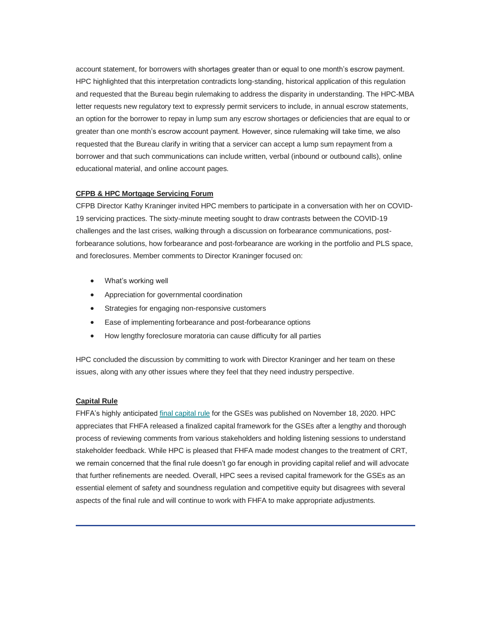account statement, for borrowers with shortages greater than or equal to one month's escrow payment. HPC highlighted that this interpretation contradicts long-standing, historical application of this regulation and requested that the Bureau begin rulemaking to address the disparity in understanding. The HPC-MBA letter requests new regulatory text to expressly permit servicers to include, in annual escrow statements, an option for the borrower to repay in lump sum any escrow shortages or deficiencies that are equal to or greater than one month's escrow account payment. However, since rulemaking will take time, we also requested that the Bureau clarify in writing that a servicer can accept a lump sum repayment from a borrower and that such communications can include written, verbal (inbound or outbound calls), online educational material, and online account pages.

## **CFPB & HPC Mortgage Servicing Forum**

CFPB Director Kathy Kraninger invited HPC members to participate in a conversation with her on COVID-19 servicing practices. The sixty-minute meeting sought to draw contrasts between the COVID-19 challenges and the last crises, walking through a discussion on forbearance communications, postforbearance solutions, how forbearance and post-forbearance are working in the portfolio and PLS space, and foreclosures. Member comments to Director Kraninger focused on:

- What's working well
- Appreciation for governmental coordination
- Strategies for engaging non-responsive customers
- Ease of implementing forbearance and post-forbearance options
- How lengthy foreclosure moratoria can cause difficulty for all parties

HPC concluded the discussion by committing to work with Director Kraninger and her team on these issues, along with any other issues where they feel that they need industry perspective.

## **Capital Rule**

<span id="page-3-0"></span>FHFA's highly anticipated [final capital rule](https://nam12.safelinks.protection.outlook.com/?url=https%3A%2F%2Fwww.fhfa.gov%2FSupervisionRegulation%2FRules%2FRuleDocuments%2FEnterprise%2520Capital%2520Final%2520Rule%2520for%2520Website.pdf&data=04%7C01%7Canna.herndon%40edelman.com%7C6b9b93e438354194185308d896477448%7Cb824bfb3918e43c2bb1cdcc1ba40a82b%7C0%7C1%7C637424580941306264%7CUnknown%7CTWFpbGZsb3d8eyJWIjoiMC4wLjAwMDAiLCJQIjoiV2luMzIiLCJBTiI6Ik1haWwiLCJXVCI6Mn0%3D%7C1000&sdata=fbhJ%2FgJ39QeKsGgnGqAS5LxHwzXxRasH7Ygo%2Bx8QLMI%3D&reserved=0) for the GSEs was published on November 18, 2020. HPC appreciates that FHFA released a finalized capital framework for the GSEs after a lengthy and thorough process of reviewing comments from various stakeholders and holding listening sessions to understand stakeholder feedback. While HPC is pleased that FHFA made modest changes to the treatment of CRT, we remain concerned that the final rule doesn't go far enough in providing capital relief and will advocate that further refinements are needed. Overall, HPC sees a revised capital framework for the GSEs as an essential element of safety and soundness regulation and competitive equity but disagrees with several aspects of the final rule and will continue to work with FHFA to make appropriate adjustments.